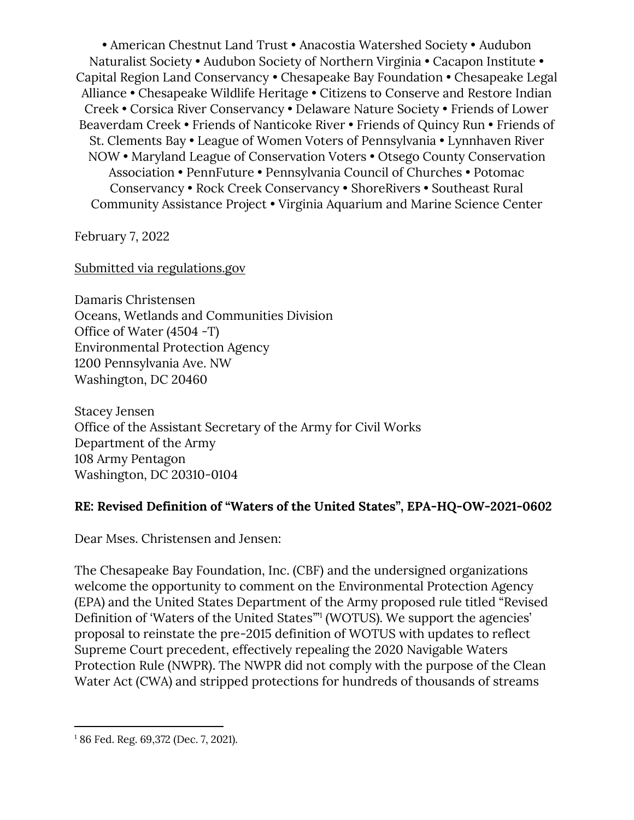• American Chestnut Land Trust • Anacostia Watershed Society • Audubon Naturalist Society • Audubon Society of Northern Virginia • Cacapon Institute • Capital Region Land Conservancy • Chesapeake Bay Foundation • Chesapeake Legal Alliance • Chesapeake Wildlife Heritage • Citizens to Conserve and Restore Indian Creek • Corsica River Conservancy • Delaware Nature Society • Friends of Lower Beaverdam Creek • Friends of Nanticoke River • Friends of Quincy Run • Friends of St. Clements Bay • League of Women Voters of Pennsylvania • Lynnhaven River NOW • Maryland League of Conservation Voters • Otsego County Conservation Association • PennFuture • Pennsylvania Council of Churches • Potomac Conservancy • Rock Creek Conservancy • ShoreRivers • Southeast Rural Community Assistance Project • Virginia Aquarium and Marine Science Center

February 7, 2022

Submitted via regulations.gov

Damaris Christensen Oceans, Wetlands and Communities Division Office of Water (4504 -T) Environmental Protection Agency 1200 Pennsylvania Ave. NW Washington, DC 20460

Stacey Jensen Office of the Assistant Secretary of the Army for Civil Works Department of the Army 108 Army Pentagon Washington, DC 20310-0104

# **RE: Revised Definition of "Waters of the United States", EPA-HQ-OW-2021-0602**

Dear Mses. Christensen and Jensen:

The Chesapeake Bay Foundation, Inc. (CBF) and the undersigned organizations welcome the opportunity to comment on the Environmental Protection Agency (EPA) and the United States Department of the Army proposed rule titled "Revised Definition of 'Waters of the United States'" 1 (WOTUS). We support the agencies' proposal to reinstate the pre-2015 definition of WOTUS with updates to reflect Supreme Court precedent, effectively repealing the 2020 Navigable Waters Protection Rule (NWPR). The NWPR did not comply with the purpose of the Clean Water Act (CWA) and stripped protections for hundreds of thousands of streams

<sup>1</sup> 86 Fed. Reg. 69,372 (Dec. 7, 2021).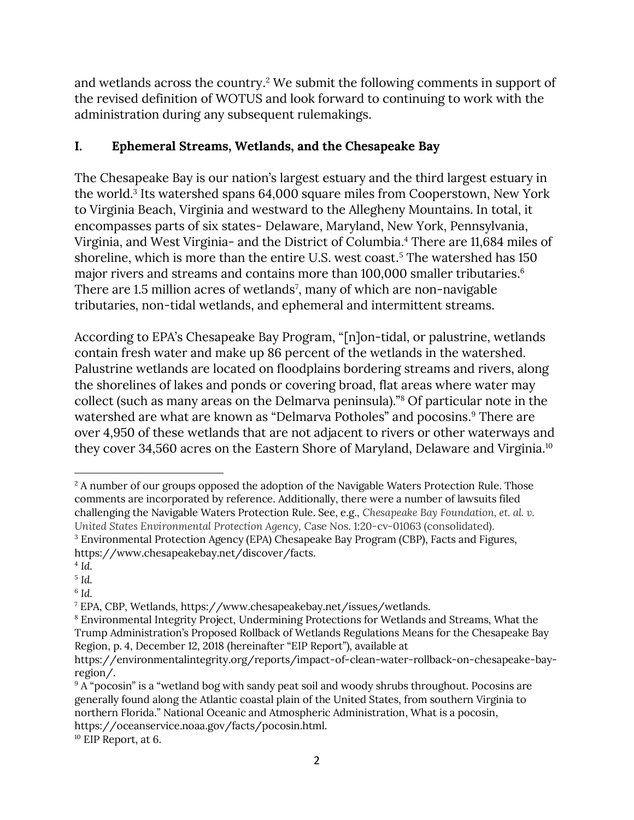and wetlands across the country. <sup>2</sup> We submit the following comments in support of the revised definition of WOTUS and look forward to continuing to work with the administration during any subsequent rulemakings.

# **I. Ephemeral Streams, Wetlands, and the Chesapeake Bay**

The Chesapeake Bay is our nation's largest estuary and the third largest estuary in the world.<sup>3</sup> Its watershed spans 64,000 square miles from Cooperstown, New York to Virginia Beach, Virginia and westward to the Allegheny Mountains. In total, it encompasses parts of six states- Delaware, Maryland, New York, Pennsylvania, Virginia, and West Virginia- and the District of Columbia.<sup>4</sup> There are 11,684 miles of shoreline, which is more than the entire U.S. west coast. <sup>5</sup> The watershed has 150 major rivers and streams and contains more than 100,000 smaller tributaries. 6 There are 1.5 million acres of wetlands<sup>7</sup>, many of which are non-navigable tributaries, non-tidal wetlands, and ephemeral and intermittent streams.

According to EPA's Chesapeake Bay Program, "[n]on-tidal, or palustrine, wetlands contain fresh water and make up 86 percent of the wetlands in the watershed. Palustrine wetlands are located on floodplains bordering streams and rivers, along the shorelines of lakes and ponds or covering broad, flat areas where water may collect (such as many areas on the Delmarva peninsula)."<sup>8</sup> Of particular note in the watershed are what are known as "Delmarva Potholes" and pocosins.<sup>9</sup> There are over 4,950 of these wetlands that are not adjacent to rivers or other waterways and they cover 34,560 acres on the Eastern Shore of Maryland, Delaware and Virginia.<sup>10</sup>

<sup>&</sup>lt;sup>2</sup> A number of our groups opposed the adoption of the Navigable Waters Protection Rule. Those comments are incorporated by reference. Additionally, there were a number of lawsuits filed challenging the Navigable Waters Protection Rule. See, e.g., *Chesapeake Bay Foundation, et. al. v. United States Environmental Protection Agency,* Case Nos. 1:20-cv-01063 (consolidated). <sup>3</sup> Environmental Protection Agency (EPA) Chesapeake Bay Program (CBP), Facts and Figures, https://www.chesapeakebay.net/discover/facts.

<sup>4</sup> *Id.*

<sup>5</sup> *Id.*

<sup>6</sup> *Id.*

<sup>7</sup> EPA, CBP, Wetlands, https://www.chesapeakebay.net/issues/wetlands.

<sup>8</sup> Environmental Integrity Project, Undermining Protections for Wetlands and Streams, What the Trump Administration's Proposed Rollback of Wetlands Regulations Means for the Chesapeake Bay Region, p. 4, December 12, 2018 (hereinafter "EIP Report"), available at

https://environmentalintegrity.org/reports/impact-of-clean-water-rollback-on-chesapeake-bayregion/.

<sup>&</sup>lt;sup>9</sup> A "pocosin" is a "wetland bog with sandy peat soil and woody shrubs throughout. Pocosins are generally found along the Atlantic coastal plain of the United States, from southern Virginia to northern Florida." National Oceanic and Atmospheric Administration, What is a pocosin, https://oceanservice.noaa.gov/facts/pocosin.html.

<sup>10</sup> EIP Report, at 6.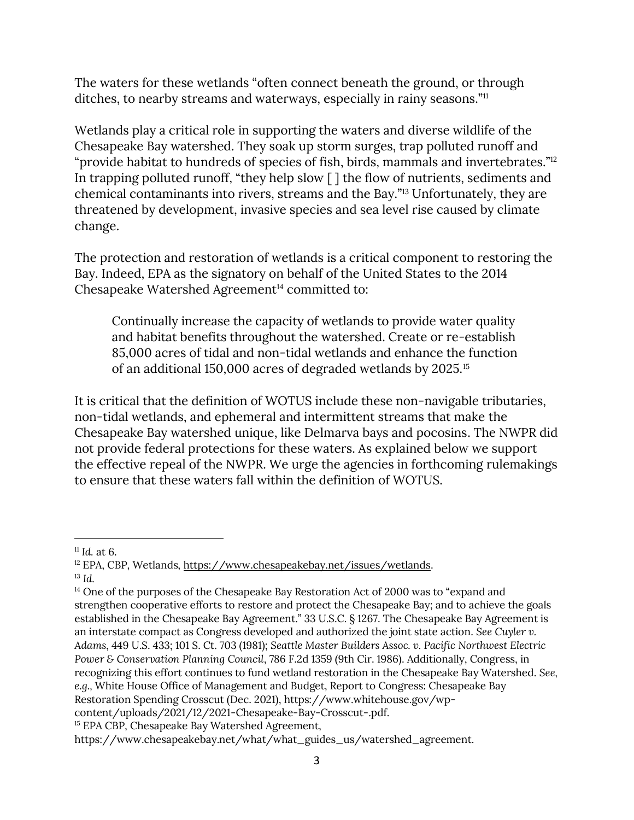The waters for these wetlands "often connect beneath the ground, or through ditches, to nearby streams and waterways, especially in rainy seasons."<sup>11</sup>

Wetlands play a critical role in supporting the waters and diverse wildlife of the Chesapeake Bay watershed. They soak up storm surges, trap polluted runoff and "provide habitat to hundreds of species of fish, birds, mammals and invertebrates."<sup>12</sup> In trapping polluted runoff, "they help slow [ ] the flow of nutrients, sediments and chemical contaminants into rivers, streams and the Bay."<sup>13</sup> Unfortunately, they are threatened by development, invasive species and sea level rise caused by climate change.

The protection and restoration of wetlands is a critical component to restoring the Bay. Indeed, EPA as the signatory on behalf of the United States to the 2014 Chesapeake Watershed Agreement<sup>14</sup> committed to:

Continually increase the capacity of wetlands to provide water quality and habitat benefits throughout the watershed. Create or re-establish 85,000 acres of tidal and non-tidal wetlands and enhance the function of an additional 150,000 acres of degraded wetlands by 2025.<sup>15</sup>

It is critical that the definition of WOTUS include these non-navigable tributaries, non-tidal wetlands, and ephemeral and intermittent streams that make the Chesapeake Bay watershed unique, like Delmarva bays and pocosins. The NWPR did not provide federal protections for these waters. As explained below we support the effective repeal of the NWPR. We urge the agencies in forthcoming rulemakings to ensure that these waters fall within the definition of WOTUS.

 $11$  *Id.* at 6.

<sup>12</sup> EPA, CBP, Wetlands, [https://www.chesapeakebay.net/issues/wetlands.](https://www.chesapeakebay.net/issues/wetlands) <sup>13</sup> *Id.*

<sup>&</sup>lt;sup>14</sup> One of the purposes of the Chesapeake Bay Restoration Act of 2000 was to "expand and strengthen cooperative efforts to restore and protect the Chesapeake Bay; and to achieve the goals established in the Chesapeake Bay Agreement." 33 U.S.C. § 1267. The Chesapeake Bay Agreement is an interstate compact as Congress developed and authorized the joint state action. *See Cuyler v. Adams*, 449 U.S. 433; 101 S. Ct. 703 (1981); *Seattle Master Builders Assoc. v. Pacific Northwest Electric Power & Conservation Planning Council*, 786 F.2d 1359 (9th Cir. 1986). Additionally, Congress, in recognizing this effort continues to fund wetland restoration in the Chesapeake Bay Watershed. *See, e.g.,* White House Office of Management and Budget, Report to Congress: Chesapeake Bay Restoration Spending Crosscut (Dec. 2021), https://www.whitehouse.gov/wpcontent/uploads/2021/12/2021-Chesapeake-Bay-Crosscut-.pdf.

<sup>&</sup>lt;sup>15</sup> EPA CBP, Chesapeake Bay Watershed Agreement,

https://www.chesapeakebay.net/what/what\_guides\_us/watershed\_agreement.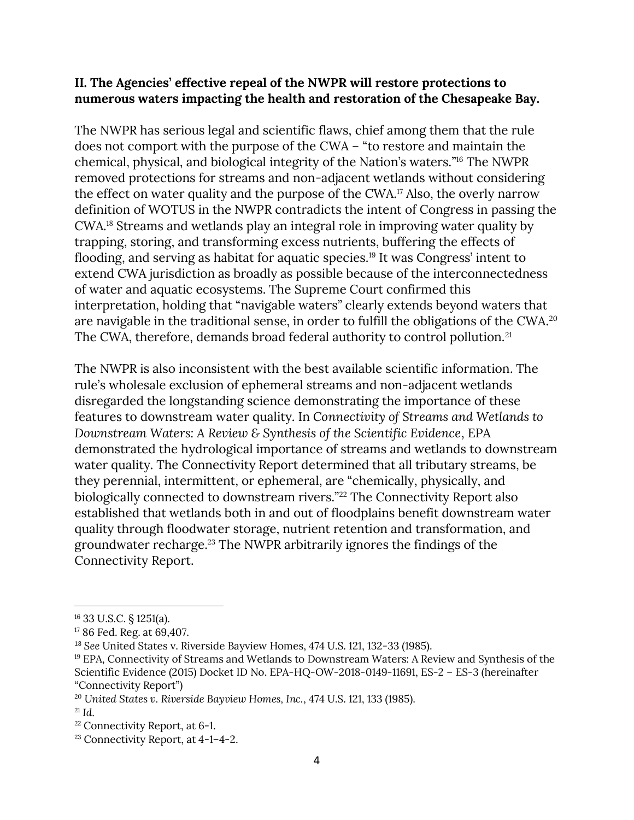#### **II. The Agencies' effective repeal of the NWPR will restore protections to numerous waters impacting the health and restoration of the Chesapeake Bay.**

The NWPR has serious legal and scientific flaws, chief among them that the rule does not comport with the purpose of the CWA – "to restore and maintain the chemical, physical, and biological integrity of the Nation's waters." <sup>16</sup> The NWPR removed protections for streams and non-adjacent wetlands without considering the effect on water quality and the purpose of the CWA. <sup>17</sup> Also, the overly narrow definition of WOTUS in the NWPR contradicts the intent of Congress in passing the CWA. <sup>18</sup> Streams and wetlands play an integral role in improving water quality by trapping, storing, and transforming excess nutrients, buffering the effects of flooding, and serving as habitat for aquatic species.<sup>19</sup> It was Congress' intent to extend CWA jurisdiction as broadly as possible because of the interconnectedness of water and aquatic ecosystems. The Supreme Court confirmed this interpretation, holding that "navigable waters" clearly extends beyond waters that are navigable in the traditional sense, in order to fulfill the obligations of the CWA. 20 The CWA, therefore, demands broad federal authority to control pollution.<sup>21</sup>

The NWPR is also inconsistent with the best available scientific information. The rule's wholesale exclusion of ephemeral streams and non-adjacent wetlands disregarded the longstanding science demonstrating the importance of these features to downstream water quality. In *Connectivity of Streams and Wetlands to Downstream Waters: A Review & Synthesis of the Scientific Evidence*, EPA demonstrated the hydrological importance of streams and wetlands to downstream water quality. The Connectivity Report determined that all tributary streams, be they perennial, intermittent, or ephemeral, are "chemically, physically, and biologically connected to downstream rivers."<sup>22</sup> The Connectivity Report also established that wetlands both in and out of floodplains benefit downstream water quality through floodwater storage, nutrient retention and transformation, and groundwater recharge.<sup>23</sup> The NWPR arbitrarily ignores the findings of the Connectivity Report.

<sup>16</sup> 33 U.S.C. § 1251(a).

<sup>17</sup> 86 Fed. Reg. at 69,407.

<sup>18</sup> *See* United States v. Riverside Bayview Homes, 474 U.S. 121, 132-33 (1985).

<sup>&</sup>lt;sup>19</sup> EPA, Connectivity of Streams and Wetlands to Downstream Waters: A Review and Synthesis of the Scientific Evidence (2015) Docket ID No. EPA-HQ-OW-2018-0149-11691, ES-2 – ES-3 (hereinafter "Connectivity Report")

<sup>20</sup> *United States v. Riverside Bayview Homes, Inc.*, 474 U.S. 121, 133 (1985).

 $^{21}$  *Id.* 

<sup>22</sup> Connectivity Report, at 6-1.

<sup>23</sup> Connectivity Report, at 4-1–4-2.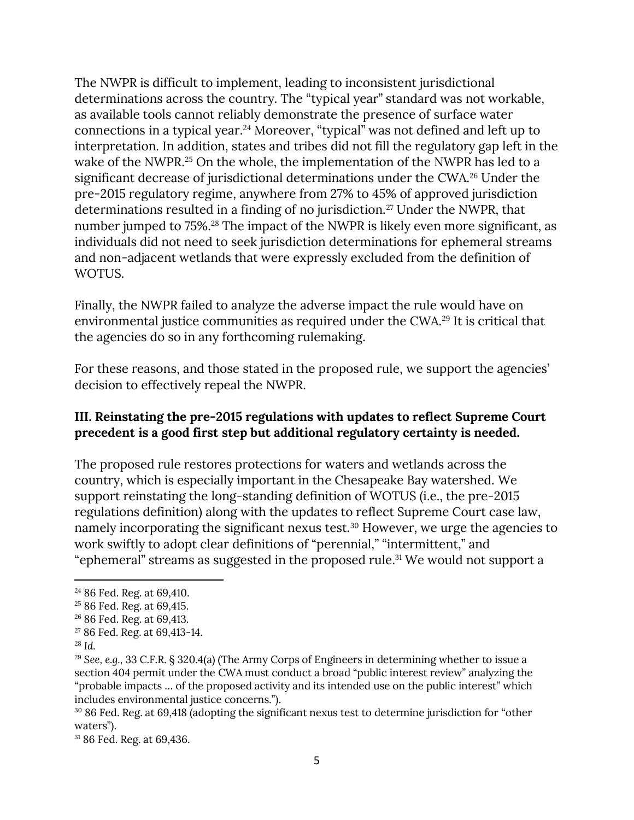The NWPR is difficult to implement, leading to inconsistent jurisdictional determinations across the country. The "typical year" standard was not workable, as available tools cannot reliably demonstrate the presence of surface water connections in a typical year.<sup>24</sup> Moreover, "typical" was not defined and left up to interpretation. In addition, states and tribes did not fill the regulatory gap left in the wake of the NWPR.<sup>25</sup> On the whole, the implementation of the NWPR has led to a significant decrease of jurisdictional determinations under the CWA. <sup>26</sup> Under the pre-2015 regulatory regime, anywhere from 27% to 45% of approved jurisdiction determinations resulted in a finding of no jurisdiction.<sup>27</sup> Under the NWPR, that number jumped to 75%.<sup>28</sup> The impact of the NWPR is likely even more significant, as individuals did not need to seek jurisdiction determinations for ephemeral streams and non-adjacent wetlands that were expressly excluded from the definition of WOTUS.

Finally, the NWPR failed to analyze the adverse impact the rule would have on environmental justice communities as required under the CWA. <sup>29</sup> It is critical that the agencies do so in any forthcoming rulemaking.

For these reasons, and those stated in the proposed rule, we support the agencies' decision to effectively repeal the NWPR.

## **III. Reinstating the pre-2015 regulations with updates to reflect Supreme Court precedent is a good first step but additional regulatory certainty is needed.**

The proposed rule restores protections for waters and wetlands across the country, which is especially important in the Chesapeake Bay watershed. We support reinstating the long-standing definition of WOTUS (i.e., the pre-2015 regulations definition) along with the updates to reflect Supreme Court case law, namely incorporating the significant nexus test.<sup>30</sup> However, we urge the agencies to work swiftly to adopt clear definitions of "perennial," "intermittent," and "ephemeral" streams as suggested in the proposed rule. <sup>31</sup> We would not support a

<sup>24</sup> 86 Fed. Reg. at 69,410.

<sup>&</sup>lt;sup>25</sup> 86 Fed. Reg. at 69,415.

<sup>26</sup> 86 Fed. Reg. at 69,413.

<sup>27</sup> 86 Fed. Reg. at 69,413-14.

<sup>28</sup> *Id.* 

<sup>29</sup> *See, e.g.,* 33 C.F.R. § 320.4(a) (The Army Corps of Engineers in determining whether to issue a section 404 permit under the CWA must conduct a broad "public interest review" analyzing the "probable impacts … of the proposed activity and its intended use on the public interest" which includes environmental justice concerns.").

<sup>30</sup> 86 Fed. Reg. at 69,418 (adopting the significant nexus test to determine jurisdiction for "other waters").

<sup>31</sup> 86 Fed. Reg. at 69,436.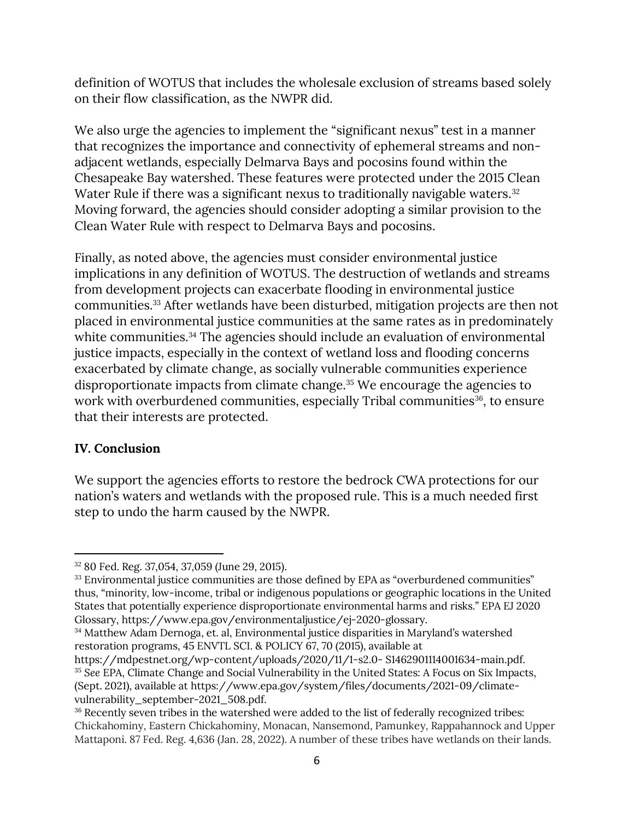definition of WOTUS that includes the wholesale exclusion of streams based solely on their flow classification, as the NWPR did.

We also urge the agencies to implement the "significant nexus" test in a manner that recognizes the importance and connectivity of ephemeral streams and nonadjacent wetlands, especially Delmarva Bays and pocosins found within the Chesapeake Bay watershed. These features were protected under the 2015 Clean Water Rule if there was a significant nexus to traditionally navigable waters.<sup>32</sup> Moving forward, the agencies should consider adopting a similar provision to the Clean Water Rule with respect to Delmarva Bays and pocosins.

Finally, as noted above, the agencies must consider environmental justice implications in any definition of WOTUS. The destruction of wetlands and streams from development projects can exacerbate flooding in environmental justice communities.<sup>33</sup> After wetlands have been disturbed, mitigation projects are then not placed in environmental justice communities at the same rates as in predominately white communities.<sup>34</sup> The agencies should include an evaluation of environmental justice impacts, especially in the context of wetland loss and flooding concerns exacerbated by climate change, as socially vulnerable communities experience disproportionate impacts from climate change.<sup>35</sup> We encourage the agencies to work with overburdened communities, especially Tribal communities<sup>36</sup>, to ensure that their interests are protected.

## **IV. Conclusion**

We support the agencies efforts to restore the bedrock CWA protections for our nation's waters and wetlands with the proposed rule. This is a much needed first step to undo the harm caused by the NWPR.

<sup>32</sup> 80 Fed. Reg. 37,054, 37,059 (June 29, 2015).

<sup>&</sup>lt;sup>33</sup> Environmental justice communities are those defined by EPA as "overburdened communities" thus, "minority, low-income, tribal or indigenous populations or geographic locations in the United States that potentially experience disproportionate environmental harms and risks." EPA EJ 2020 Glossary, https://www.epa.gov/environmentaljustice/ej-2020-glossary.

<sup>34</sup> Matthew Adam Dernoga, et. al, Environmental justice disparities in Maryland's watershed restoration programs, 45 ENVTL SCI. & POLICY 67, 70 (2015), available at

https://mdpestnet.org/wp-content/uploads/2020/11/1-s2.0- S1462901114001634-main.pdf. <sup>35</sup> *See* EPA, Climate Change and Social Vulnerability in the United States: A Focus on Six Impacts, (Sept. 2021), available at https://www.epa.gov/system/files/documents/2021-09/climatevulnerability\_september-2021\_508.pdf.

<sup>&</sup>lt;sup>36</sup> Recently seven tribes in the watershed were added to the list of federally recognized tribes: Chickahominy, Eastern Chickahominy, Monacan, Nansemond, Pamunkey, Rappahannock and Upper Mattaponi. 87 Fed. Reg. 4,636 (Jan. 28, 2022). A number of these tribes have wetlands on their lands.